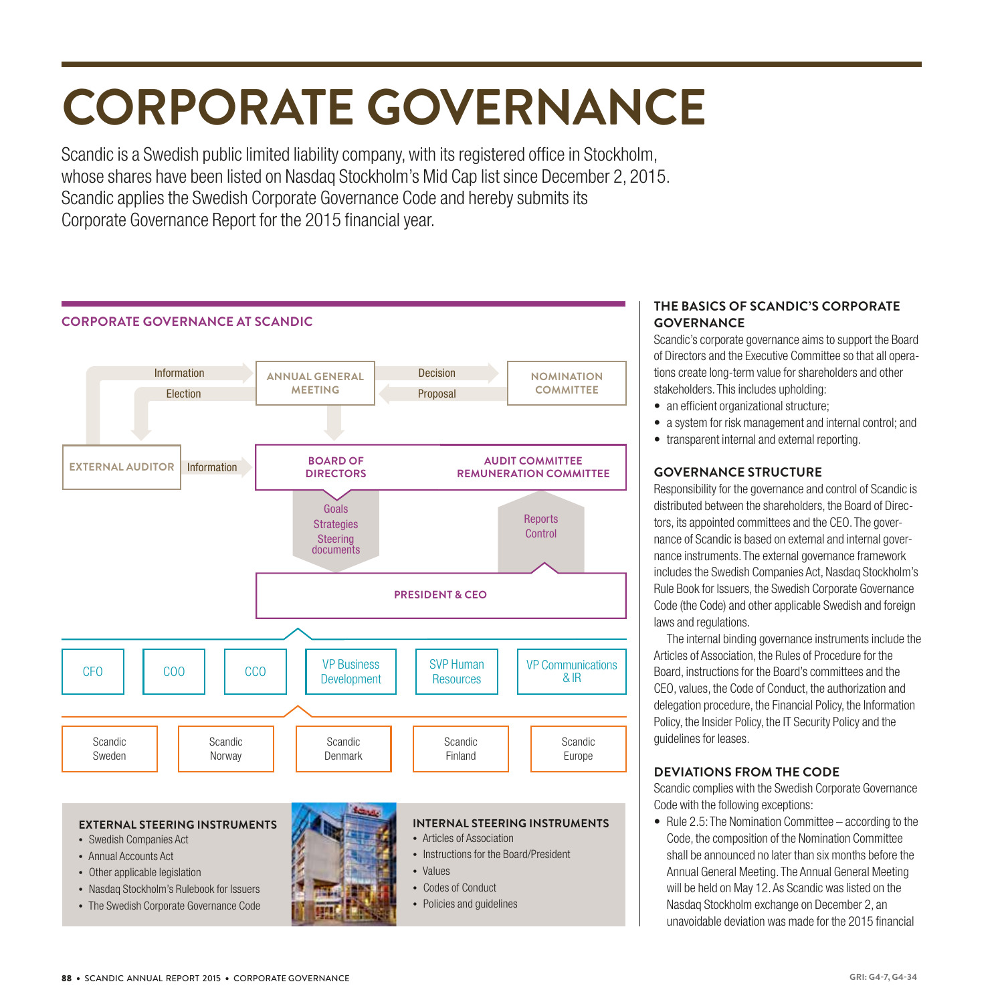## **CORPORATE GOVERNANCE**

Scandic is a Swedish public limited liability company, with its registered office in Stockholm, whose shares have been listed on Nasdaq Stockholm's Mid Cap list since December 2, 2015. Scandic applies the Swedish Corporate Governance Code and hereby submits its Corporate Governance Report for the 2015 financial year.



#### **THE BASICS OF SCANDIC'S CORPORATE GOVERNANCE**

Scandic's corporate governance aims to support the Board of Directors and the Executive Committee so that all operations create long-term value for shareholders and other stakeholders. This includes upholding:

- an efficient organizational structure;
- a system for risk management and internal control; and
- transparent internal and external reporting.

#### **GOVERNANCE STRUCTURE**

Responsibility for the governance and control of Scandic is distributed between the shareholders, the Board of Directors, its appointed committees and the CEO. The governance of Scandic is based on external and internal governance instruments. The external governance framework includes the Swedish Companies Act, Nasdaq Stockholm's Rule Book for Issuers, the Swedish Corporate Governance Code (the Code) and other applicable Swedish and foreign laws and regulations.

The internal binding governance instruments include the Articles of Association, the Rules of Procedure for the Board, instructions for the Board's committees and the CEO, values, the Code of Conduct, the authorization and delegation procedure, the Financial Policy, the Information Policy, the Insider Policy, the IT Security Policy and the guidelines for leases.

#### **DEVIATIONS FROM THE CODE**

Scandic complies with the Swedish Corporate Governance Code with the following exceptions:

• Rule 2.5: The Nomination Committee – according to the Code, the composition of the Nomination Committee shall be announced no later than six months before the Annual General Meeting. The Annual General Meeting will be held on May 12. As Scandic was listed on the Nasdaq Stockholm exchange on December 2, an unavoidable deviation was made for the 2015 financial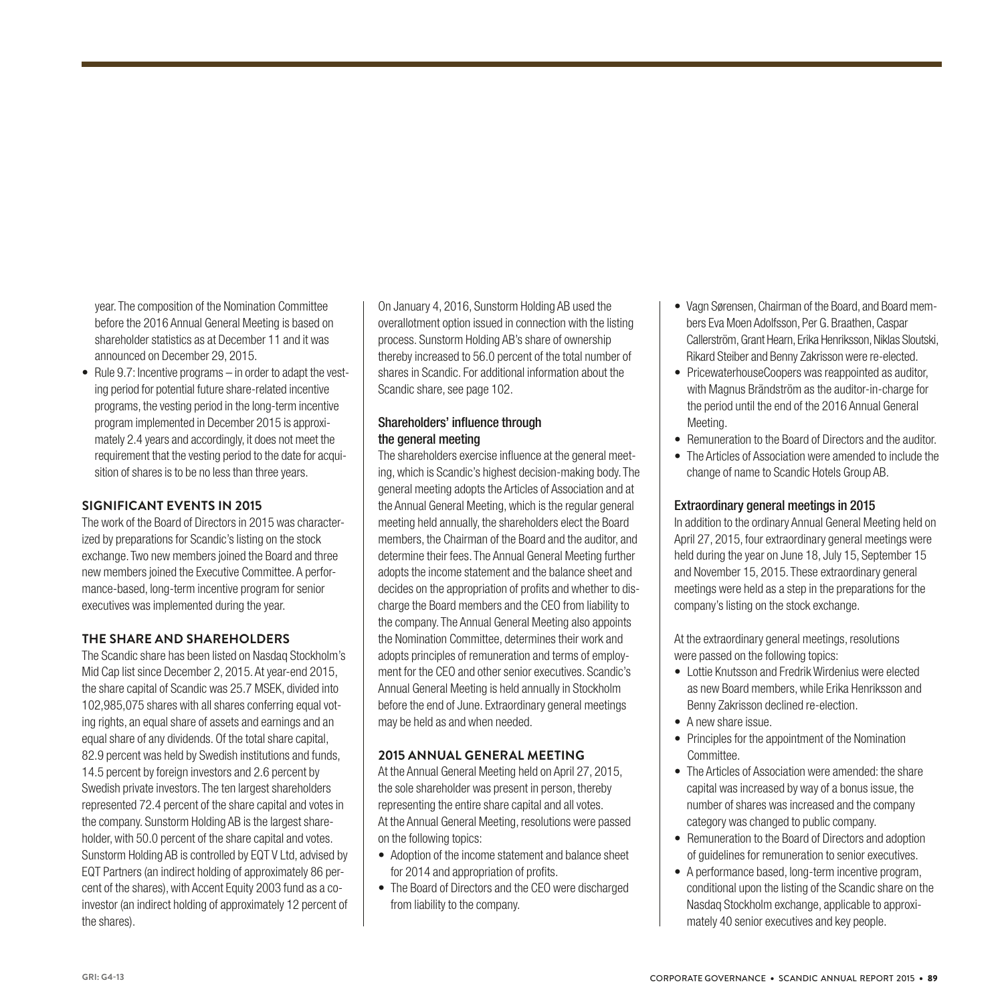year. The composition of the Nomination Committee before the 2016 Annual General Meeting is based on shareholder statistics as at December 11 and it was announced on December 29, 2015.

• Rule 9.7: Incentive programs – in order to adapt the vesting period for potential future share-related incentive programs, the vesting period in the long-term incentive program implemented in December 2015 is approximately 2.4 years and accordingly, it does not meet the requirement that the vesting period to the date for acquisition of shares is to be no less than three years.

#### **SIGNIFICANT EVENTS IN 2015**

The work of the Board of Directors in 2015 was characterized by preparations for Scandic's listing on the stock exchange. Two new members joined the Board and three new members joined the Executive Committee. A performance-based, long-term incentive program for senior executives was implemented during the year.

#### **THE SHARE AND SHAREHOLDERS**

The Scandic share has been listed on Nasdaq Stockholm's Mid Cap list since December 2, 2015. At year-end 2015, the share capital of Scandic was 25.7 MSEK, divided into 102,985,075 shares with all shares conferring equal voting rights, an equal share of assets and earnings and an equal share of any dividends. Of the total share capital, 82.9 percent was held by Swedish institutions and funds, 14.5 percent by foreign investors and 2.6 percent by Swedish private investors. The ten largest shareholders represented 72.4 percent of the share capital and votes in the company. Sunstorm Holding AB is the largest shareholder, with 50.0 percent of the share capital and votes. Sunstorm Holding AB is controlled by EQT V Ltd, advised by EQT Partners (an indirect holding of approximately 86 percent of the shares), with Accent Equity 2003 fund as a coinvestor (an indirect holding of approximately 12 percent of the shares).

On January 4, 2016, Sunstorm Holding AB used the overallotment option issued in connection with the listing process. Sunstorm Holding AB's share of ownership thereby increased to 56.0 percent of the total number of shares in Scandic. For additional information about the Scandic share, see page 102.

#### Shareholders' influence through the general meeting

The shareholders exercise influence at the general meeting, which is Scandic's highest decision-making body. The general meeting adopts the Articles of Association and at the Annual General Meeting, which is the regular general meeting held annually, the shareholders elect the Board members, the Chairman of the Board and the auditor, and determine their fees. The Annual General Meeting further adopts the income statement and the balance sheet and decides on the appropriation of profits and whether to discharge the Board members and the CEO from liability to the company. The Annual General Meeting also appoints the Nomination Committee, determines their work and adopts principles of remuneration and terms of employment for the CEO and other senior executives. Scandic's Annual General Meeting is held annually in Stockholm before the end of June. Extraordinary general meetings may be held as and when needed.

#### **2015 ANNUAL GENERAL MEETING**

At the Annual General Meeting held on April 27, 2015, the sole shareholder was present in person, thereby representing the entire share capital and all votes. At the Annual General Meeting, resolutions were passed on the following topics:

- Adoption of the income statement and balance sheet for 2014 and appropriation of profits.
- The Board of Directors and the CEO were discharged from liability to the company.
- Vagn Sørensen, Chairman of the Board, and Board members Eva Moen Adolfsson, Per G. Braathen, Caspar Callerström, Grant Hearn, Erika Henriksson, Niklas Sloutski, Rikard Steiber and Benny Zakrisson were re-elected.
- PricewaterhouseCoopers was reappointed as auditor, with Magnus Brändström as the auditor-in-charge for the period until the end of the 2016 Annual General Meeting.
- Remuneration to the Board of Directors and the auditor.
- The Articles of Association were amended to include the change of name to Scandic Hotels Group AB.

#### Extraordinary general meetings in 2015

In addition to the ordinary Annual General Meeting held on April 27, 2015, four extraordinary general meetings were held during the year on June 18, July 15, September 15 and November 15, 2015. These extraordinary general meetings were held as a step in the preparations for the company's listing on the stock exchange.

At the extraordinary general meetings, resolutions were passed on the following topics:

- Lottie Knutsson and Fredrik Wirdenius were elected as new Board members, while Erika Henriksson and Benny Zakrisson declined re-election.
- A new share issue.
- Principles for the appointment of the Nomination Committee.
- The Articles of Association were amended: the share capital was increased by way of a bonus issue, the number of shares was increased and the company category was changed to public company.
- Remuneration to the Board of Directors and adoption of guidelines for remuneration to senior executives.
- A performance based, long-term incentive program, conditional upon the listing of the Scandic share on the Nasdaq Stockholm exchange, applicable to approximately 40 senior executives and key people.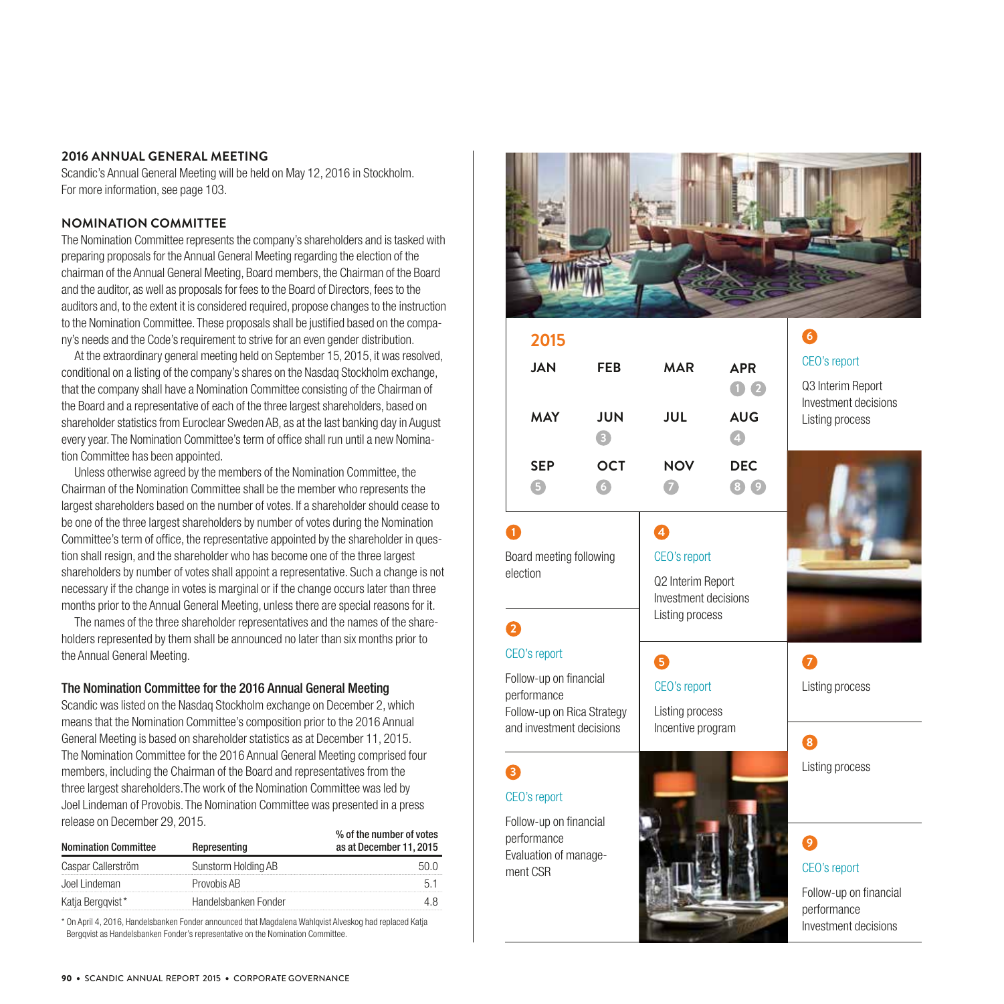#### **2016 ANNUAL GENERAL MEETING**

Scandic's Annual General Meeting will be held on May 12, 2016 in Stockholm. For more information, see page 103.

#### **NOMINATION COMMITTEE**

The Nomination Committee represents the company's shareholders and is tasked with preparing proposals for the Annual General Meeting regarding the election of the chairman of the Annual General Meeting, Board members, the Chairman of the Board and the auditor, as well as proposals for fees to the Board of Directors, fees to the auditors and, to the extent it is considered required, propose changes to the instruction to the Nomination Committee. These proposals shall be justified based on the company's needs and the Code's requirement to strive for an even gender distribution.

At the extraordinary general meeting held on September 15, 2015, it was resolved, conditional on a listing of the company's shares on the Nasdaq Stockholm exchange, that the company shall have a Nomination Committee consisting of the Chairman of the Board and a representative of each of the three largest shareholders, based on shareholder statistics from Euroclear Sweden AB, as at the last banking day in August every year. The Nomination Committee's term of office shall run until a new Nomination Committee has been appointed.

Unless otherwise agreed by the members of the Nomination Committee, the Chairman of the Nomination Committee shall be the member who represents the largest shareholders based on the number of votes. If a shareholder should cease to be one of the three largest shareholders by number of votes during the Nomination Committee's term of office, the representative appointed by the shareholder in question shall resign, and the shareholder who has become one of the three largest shareholders by number of votes shall appoint a representative. Such a change is not necessary if the change in votes is marginal or if the change occurs later than three months prior to the Annual General Meeting, unless there are special reasons for it.

The names of the three shareholder representatives and the names of the shareholders represented by them shall be announced no later than six months prior to the Annual General Meeting.

#### The Nomination Committee for the 2016 Annual General Meeting

Scandic was listed on the Nasdaq Stockholm exchange on December 2, which means that the Nomination Committee's composition prior to the 2016 Annual General Meeting is based on shareholder statistics as at December 11, 2015. The Nomination Committee for the 2016 Annual General Meeting comprised four members, including the Chairman of the Board and representatives from the three largest shareholders.The work of the Nomination Committee was led by Joel Lindeman of Provobis. The Nomination Committee was presented in a press release on December 29, 2015.

| Representing         | % of the number of votes<br>as at December 11, 2015 |
|----------------------|-----------------------------------------------------|
| Sunstorm Holding AB  |                                                     |
| Provobis AB          |                                                     |
| Handelsbanken Fonder |                                                     |
|                      |                                                     |

\* On April 4, 2016, Handelsbanken Fonder announced that Magdalena Wahlqvist Alveskog had replaced Katja Bergqvist as Handelsbanken Fonder's representative on the Nomination Committee.



| 2015                                                                                                            |                 |                                                                                   |                                                 |  |  |  |
|-----------------------------------------------------------------------------------------------------------------|-----------------|-----------------------------------------------------------------------------------|-------------------------------------------------|--|--|--|
| <b>JAN</b>                                                                                                      | <b>FEB</b>      | <b>MAR</b>                                                                        | <b>APR</b><br>$\blacksquare$ $\blacksquare$     |  |  |  |
| <b>MAY</b>                                                                                                      | <b>JUN</b><br>B | JUL                                                                               | <b>AUG</b><br>$\begin{pmatrix} 1 \end{pmatrix}$ |  |  |  |
| <b>SEP</b><br>6                                                                                                 | <b>OCT</b><br>6 | <b>NOV</b>                                                                        | <b>DEC</b><br>(8)(9)                            |  |  |  |
| 0<br>Board meeting following<br>election                                                                        |                 | 4<br>CEO's report<br>Q2 Interim Report<br>Investment decisions<br>Listing process |                                                 |  |  |  |
| 2                                                                                                               |                 |                                                                                   |                                                 |  |  |  |
| CEO's report<br>Follow-up on financial<br>performance<br>Follow-up on Rica Strategy<br>and investment decisions |                 | ❺<br>CEO's report<br>Listing process<br>Incentive program                         |                                                 |  |  |  |
| 8<br>CEO's report                                                                                               |                 |                                                                                   |                                                 |  |  |  |
| Follow-up on financial<br>performance<br>Evaluation of manage-<br>ment CSR                                      |                 |                                                                                   |                                                 |  |  |  |

**6** CEO's report

Q3 Interim Report Investment decisions Listing process



Listing process

**8**

### **9**

### CEO's report

Follow-up on financial performance Investment decisions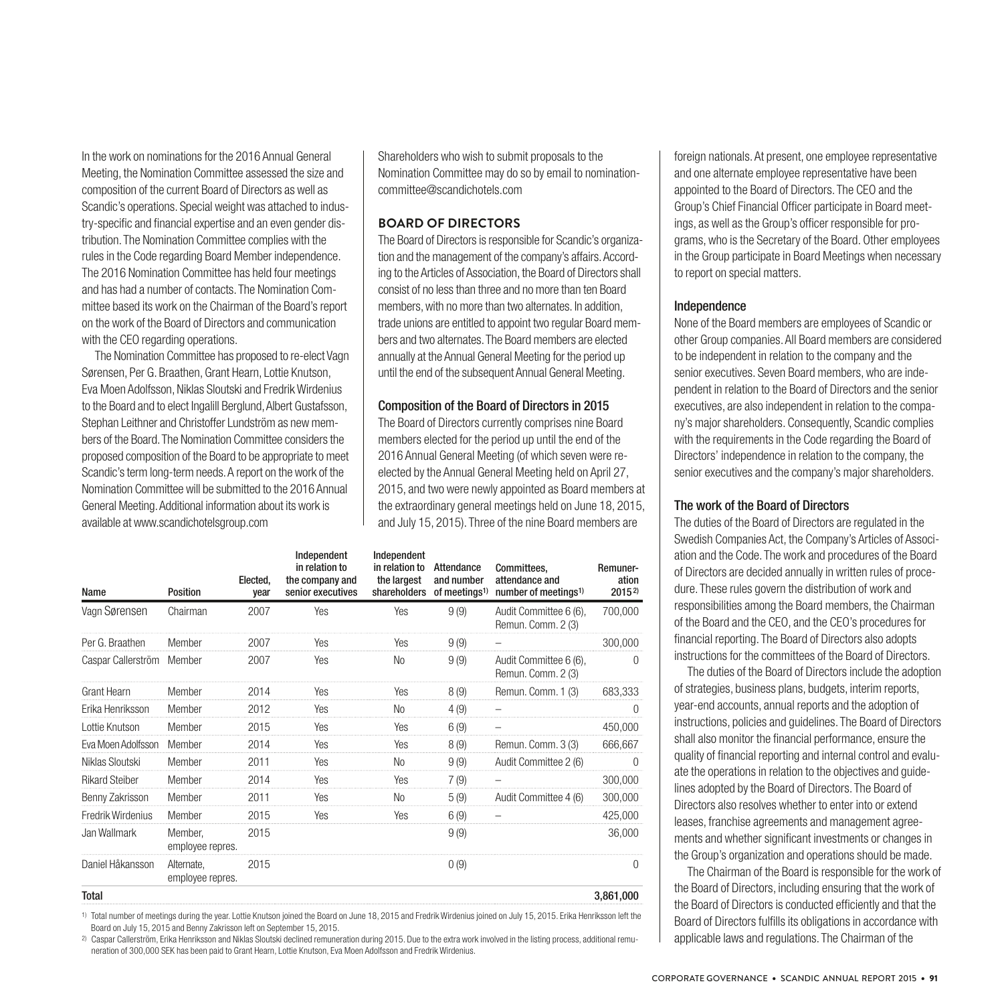In the work on nominations for the 2016 Annual General Meeting, the Nomination Committee assessed the size and composition of the current Board of Directors as well as Scandic's operations. Special weight was attached to industry-specific and financial expertise and an even gender distribution. The Nomination Committee complies with the rules in the Code regarding Board Member independence. The 2016 Nomination Committee has held four meetings and has had a number of contacts. The Nomination Committee based its work on the Chairman of the Board's report on the work of the Board of Directors and communication with the CEO regarding operations.

The Nomination Committee has proposed to re-elect Vagn Sørensen, Per G. Braathen, Grant Hearn, Lottie Knutson, Eva Moen Adolfsson, Niklas Sloutski and Fredrik Wirdenius to the Board and to elect Ingalill Berglund, Albert Gustafsson, Stephan Leithner and Christoffer Lundström as new members of the Board. The Nomination Committee considers the proposed composition of the Board to be appropriate to meet Scandic's term long-term needs. A report on the work of the Nomination Committee will be submitted to the 2016 Annual General Meeting. Additional information about its work is available at www.scandichotelsgroup.com

Shareholders who wish to submit proposals to the Nomination Committee may do so by email to nominationcommittee@scandichotels.com

#### **BOARD OF DIRECTORS**

The Board of Directors is responsible for Scandic's organization and the management of the company's affairs. According to the Articles of Association, the Board of Directors shall consist of no less than three and no more than ten Board members, with no more than two alternates. In addition, trade unions are entitled to appoint two regular Board members and two alternates. The Board members are elected annually at the Annual General Meeting for the period up until the end of the subsequent Annual General Meeting.

#### Composition of the Board of Directors in 2015

The Board of Directors currently comprises nine Board members elected for the period up until the end of the 2016 Annual General Meeting (of which seven were reelected by the Annual General Meeting held on April 27, 2015, and two were newly appointed as Board members at the extraordinary general meetings held on June 18, 2015, and July 15, 2015). Three of the nine Board members are

| Name                  | <b>Position</b>                | Elected.<br>year | Independent<br>in relation to<br>the company and<br>senior executives | Independent<br>in relation to<br>the largest<br>shareholders | Attendance<br>and number<br>of meetings <sup>1)</sup> | Committees.<br>attendance and<br>number of meetings <sup>1)</sup> | Remuner-<br>ation<br>$2015^{2}$ |
|-----------------------|--------------------------------|------------------|-----------------------------------------------------------------------|--------------------------------------------------------------|-------------------------------------------------------|-------------------------------------------------------------------|---------------------------------|
| Vagn Sørensen         | Chairman                       | 2007             | Yes                                                                   | Yes                                                          | 9(9)                                                  | Audit Committee 6 (6),<br>Remun. Comm. 2 (3)                      | 700,000                         |
| Per G. Braathen       | Member                         | 2007             | Yes                                                                   | Yes                                                          | 9(9)                                                  |                                                                   | 300,000                         |
| Caspar Callerström    | Member                         | 2007             | Yes                                                                   | No                                                           | 9(9)                                                  | Audit Committee 6 (6),<br>Remun. Comm. 2 (3)                      | $\Omega$                        |
| Grant Hearn           | Member                         | 2014             | Yes                                                                   | <b>Yes</b>                                                   | 8(9)                                                  | Remun. Comm. 1 (3)                                                | 683,333                         |
| Erika Henriksson      | Member                         | 2012             | Yes                                                                   | No                                                           | 4(9)                                                  | -                                                                 | $\Omega$                        |
| Lottie Knutson        | Member                         | 2015             | Yes                                                                   | Yes                                                          | 6(9)                                                  |                                                                   | 450,000                         |
| Eva Moen Adolfsson    | Member                         | 2014             | Yes                                                                   | Yes                                                          | 8(9)                                                  | Remun. Comm. 3 (3)                                                | 666,667                         |
| Niklas Sloutski       | Member                         | 2011             | Yes                                                                   | No                                                           | 9(9)                                                  | Audit Committee 2 (6)                                             | $\mathbf{0}$                    |
| <b>Rikard Steiber</b> | Member                         | 2014             | Yes                                                                   | Yes                                                          | 7(9)                                                  |                                                                   | 300,000                         |
| Benny Zakrisson       | Member                         | 2011             | Yes                                                                   | No                                                           | 5(9)                                                  | Audit Committee 4 (6)                                             | 300,000                         |
| Fredrik Wirdenius     | Member                         | 2015             | Yes                                                                   | Yes                                                          | 6(9)                                                  | -                                                                 | 425,000                         |
| Jan Wallmark          | Member,<br>employee repres.    | 2015             |                                                                       |                                                              | 9(9)                                                  |                                                                   | 36,000                          |
| Daniel Håkansson      | Alternate,<br>employee repres. | 2015             |                                                                       |                                                              | 0(9)                                                  |                                                                   | $\Omega$                        |
| <b>Total</b>          |                                |                  |                                                                       |                                                              |                                                       |                                                                   | 3,861,000                       |

1) Total number of meetings during the year. Lottie Knutson joined the Board on June 18, 2015 and Fredrik Wirdenius joined on July 15, 2015. Erika Henriksson left the Board on July 15, 2015 and Benny Zakrisson left on September 15, 2015.

2) Caspar Callerström, Erika Henriksson and Niklas Sloutski declined remuneration during 2015. Due to the extra work involved in the listing process, additional remuneration of 300,000 SEK has been paid to Grant Hearn, Lottie Knutson, Eva Moen Adolfsson and Fredrik Wirdenius.

foreign nationals. At present, one employee representative and one alternate employee representative have been appointed to the Board of Directors. The CEO and the Group's Chief Financial Officer participate in Board meetings, as well as the Group's officer responsible for programs, who is the Secretary of the Board. Other employees in the Group participate in Board Meetings when necessary to report on special matters.

#### Independence

None of the Board members are employees of Scandic or other Group companies. All Board members are considered to be independent in relation to the company and the senior executives. Seven Board members, who are independent in relation to the Board of Directors and the senior executives, are also independent in relation to the company's major shareholders. Consequently, Scandic complies with the requirements in the Code regarding the Board of Directors' independence in relation to the company, the senior executives and the company's major shareholders.

#### The work of the Board of Directors

The duties of the Board of Directors are regulated in the Swedish Companies Act, the Company's Articles of Association and the Code. The work and procedures of the Board of Directors are decided annually in written rules of procedure. These rules govern the distribution of work and responsibilities among the Board members, the Chairman of the Board and the CEO, and the CEO's procedures for financial reporting. The Board of Directors also adopts instructions for the committees of the Board of Directors.

The duties of the Board of Directors include the adoption of strategies, business plans, budgets, interim reports, year-end accounts, annual reports and the adoption of instructions, policies and guidelines. The Board of Directors shall also monitor the financial performance, ensure the quality of financial reporting and internal control and evaluate the operations in relation to the objectives and guidelines adopted by the Board of Directors. The Board of Directors also resolves whether to enter into or extend leases, franchise agreements and management agreements and whether significant investments or changes in the Group's organization and operations should be made.

The Chairman of the Board is responsible for the work of the Board of Directors, including ensuring that the work of the Board of Directors is conducted efficiently and that the Board of Directors fulfills its obligations in accordance with applicable laws and regulations. The Chairman of the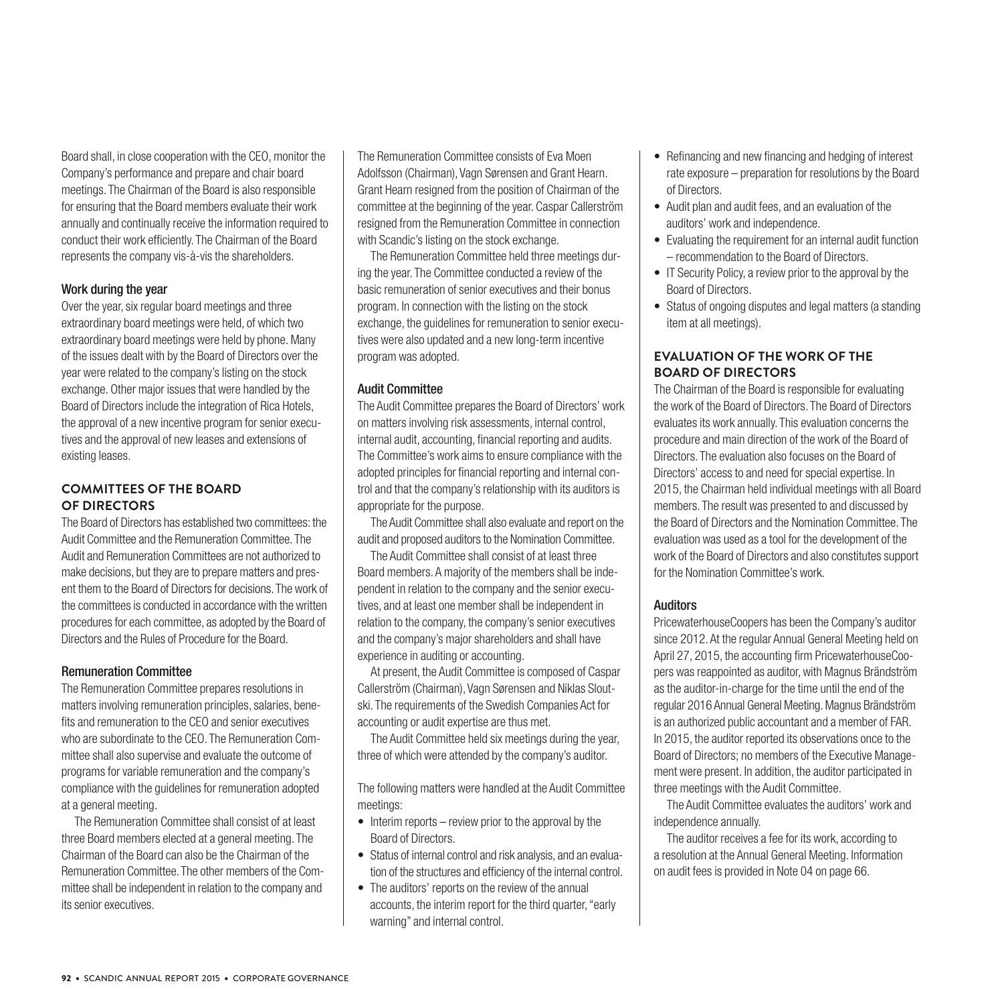Board shall, in close cooperation with the CEO, monitor the Company's performance and prepare and chair board meetings. The Chairman of the Board is also responsible for ensuring that the Board members evaluate their work annually and continually receive the information required to conduct their work efficiently. The Chairman of the Board represents the company vis-à-vis the shareholders.

#### Work during the year

Over the year, six regular board meetings and three extraordinary board meetings were held, of which two extraordinary board meetings were held by phone. Many of the issues dealt with by the Board of Directors over the year were related to the company's listing on the stock exchange. Other major issues that were handled by the Board of Directors include the integration of Rica Hotels, the approval of a new incentive program for senior executives and the approval of new leases and extensions of existing leases.

#### **COMMITTEES OF THE BOARD OF DIRECTORS**

The Board of Directors has established two committees: the Audit Committee and the Remuneration Committee. The Audit and Remuneration Committees are not authorized to make decisions, but they are to prepare matters and present them to the Board of Directors for decisions. The work of the committees is conducted in accordance with the written procedures for each committee, as adopted by the Board of Directors and the Rules of Procedure for the Board.

#### Remuneration Committee

The Remuneration Committee prepares resolutions in matters involving remuneration principles, salaries, benefits and remuneration to the CEO and senior executives who are subordinate to the CEO. The Remuneration Committee shall also supervise and evaluate the outcome of programs for variable remuneration and the company's compliance with the guidelines for remuneration adopted at a general meeting.

The Remuneration Committee shall consist of at least three Board members elected at a general meeting. The Chairman of the Board can also be the Chairman of the Remuneration Committee. The other members of the Committee shall be independent in relation to the company and its senior executives.

The Remuneration Committee consists of Eva Moen Adolfsson (Chairman), Vagn Sørensen and Grant Hearn. Grant Hearn resigned from the position of Chairman of the committee at the beginning of the year. Caspar Callerström resigned from the Remuneration Committee in connection with Scandic's listing on the stock exchange.

The Remuneration Committee held three meetings during the year. The Committee conducted a review of the basic remuneration of senior executives and their bonus program. In connection with the listing on the stock exchange, the guidelines for remuneration to senior executives were also updated and a new long-term incentive program was adopted.

#### Audit Committee

The Audit Committee prepares the Board of Directors' work on matters involving risk assessments, internal control, internal audit, accounting, financial reporting and audits. The Committee's work aims to ensure compliance with the adopted principles for financial reporting and internal control and that the company's relationship with its auditors is appropriate for the purpose.

The Audit Committee shall also evaluate and report on the audit and proposed auditors to the Nomination Committee.

The Audit Committee shall consist of at least three Board members. A majority of the members shall be independent in relation to the company and the senior executives, and at least one member shall be independent in relation to the company, the company's senior executives and the company's major shareholders and shall have experience in auditing or accounting.

At present, the Audit Committee is composed of Caspar Callerström (Chairman), Vagn Sørensen and Niklas Sloutski. The requirements of the Swedish Companies Act for accounting or audit expertise are thus met.

The Audit Committee held six meetings during the year, three of which were attended by the company's auditor.

The following matters were handled at the Audit Committee meetings:

- Interim reports review prior to the approval by the Board of Directors.
- Status of internal control and risk analysis, and an evaluation of the structures and efficiency of the internal control.
- The auditors' reports on the review of the annual accounts, the interim report for the third quarter, "early warning" and internal control.
- Refinancing and new financing and hedging of interest rate exposure – preparation for resolutions by the Board of Directors.
- Audit plan and audit fees, and an evaluation of the auditors' work and independence.
- Evaluating the requirement for an internal audit function – recommendation to the Board of Directors.
- IT Security Policy, a review prior to the approval by the Board of Directors.
- Status of ongoing disputes and legal matters (a standing item at all meetings).

#### **EVALUATION OF THE WORK OF THE BOARD OF DIRECTORS**

The Chairman of the Board is responsible for evaluating the work of the Board of Directors. The Board of Directors evaluates its work annually. This evaluation concerns the procedure and main direction of the work of the Board of Directors. The evaluation also focuses on the Board of Directors' access to and need for special expertise. In 2015, the Chairman held individual meetings with all Board members. The result was presented to and discussed by the Board of Directors and the Nomination Committee. The evaluation was used as a tool for the development of the work of the Board of Directors and also constitutes support for the Nomination Committee's work.

#### Auditors

PricewaterhouseCoopers has been the Company's auditor since 2012. At the regular Annual General Meeting held on April 27, 2015, the accounting firm PricewaterhouseCoopers was reappointed as auditor, with Magnus Brändström as the auditor-in-charge for the time until the end of the regular 2016 Annual General Meeting. Magnus Brändström is an authorized public accountant and a member of FAR. In 2015, the auditor reported its observations once to the Board of Directors; no members of the Executive Management were present. In addition, the auditor participated in three meetings with the Audit Committee.

The Audit Committee evaluates the auditors' work and independence annually.

The auditor receives a fee for its work, according to a resolution at the Annual General Meeting. Information on audit fees is provided in Note 04 on page 66.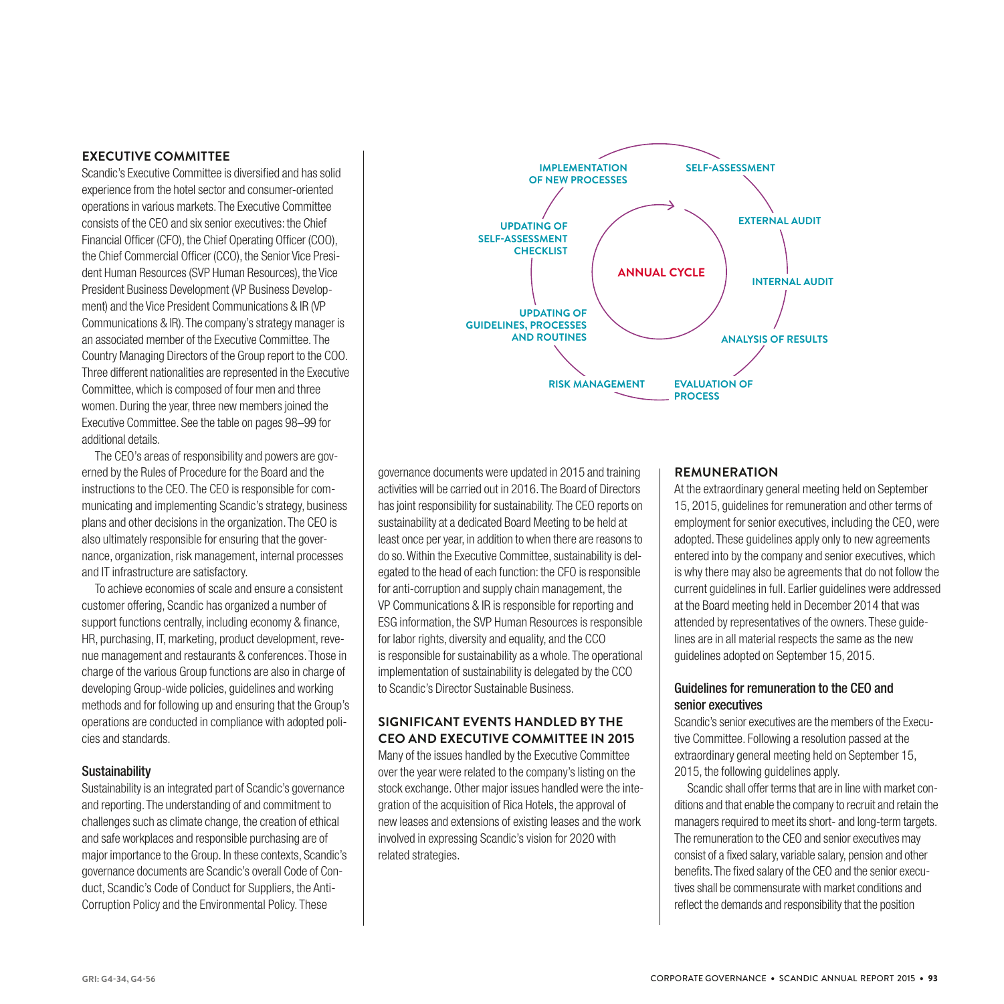#### **EXECUTIVE COMMITTEE**

Scandic's Executive Committee is diversified and has solid experience from the hotel sector and consumer-oriented operations in various markets. The Executive Committee consists of the CEO and six senior executives: the Chief Financial Officer (CFO), the Chief Operating Officer (COO), the Chief Commercial Officer (CCO), the Senior Vice President Human Resources (SVP Human Resources), the Vice President Business Development (VP Business Development) and the Vice President Communications & IR (VP Communications & IR). The company's strategy manager is an associated member of the Executive Committee. The Country Managing Directors of the Group report to the COO. Three different nationalities are represented in the Executive Committee, which is composed of four men and three women. During the year, three new members joined the Executive Committee. See the table on pages 98–99 for additional details.

The CEO's areas of responsibility and powers are governed by the Rules of Procedure for the Board and the instructions to the CEO. The CEO is responsible for communicating and implementing Scandic's strategy, business plans and other decisions in the organization. The CEO is also ultimately responsible for ensuring that the governance, organization, risk management, internal processes and IT infrastructure are satisfactory.

To achieve economies of scale and ensure a consistent customer offering, Scandic has organized a number of support functions centrally, including economy & finance, HR, purchasing, IT, marketing, product development, revenue management and restaurants & conferences. Those in charge of the various Group functions are also in charge of developing Group-wide policies, guidelines and working methods and for following up and ensuring that the Group's operations are conducted in compliance with adopted policies and standards.

#### **Sustainability**

Sustainability is an integrated part of Scandic's governance and reporting. The understanding of and commitment to challenges such as climate change, the creation of ethical and safe workplaces and responsible purchasing are of major importance to the Group. In these contexts, Scandic's governance documents are Scandic's overall Code of Conduct, Scandic's Code of Conduct for Suppliers, the Anti-Corruption Policy and the Environmental Policy. These



governance documents were updated in 2015 and training activities will be carried out in 2016. The Board of Directors has joint responsibility for sustainability. The CEO reports on sustainability at a dedicated Board Meeting to be held at least once per year, in addition to when there are reasons to do so. Within the Executive Committee, sustainability is delegated to the head of each function: the CFO is responsible for anti-corruption and supply chain management, the VP Communications & IR is responsible for reporting and ESG information, the SVP Human Resources is responsible for labor rights, diversity and equality, and the CCO is responsible for sustainability as a whole. The operational implementation of sustainability is delegated by the CCO to Scandic's Director Sustainable Business.

#### **SIGNIFICANT EVENTS HANDLED BY THE CEO AND EXECUTIVE COMMITTEE IN 2015**

Many of the issues handled by the Executive Committee over the year were related to the company's listing on the stock exchange. Other major issues handled were the integration of the acquisition of Rica Hotels, the approval of new leases and extensions of existing leases and the work involved in expressing Scandic's vision for 2020 with related strategies.

#### **REMUNERATION**

At the extraordinary general meeting held on September 15, 2015, guidelines for remuneration and other terms of employment for senior executives, including the CEO, were adopted. These guidelines apply only to new agreements entered into by the company and senior executives, which is why there may also be agreements that do not follow the current guidelines in full. Earlier guidelines were addressed at the Board meeting held in December 2014 that was attended by representatives of the owners. These guidelines are in all material respects the same as the new guidelines adopted on September 15, 2015.

#### Guidelines for remuneration to the CEO and senior executives

Scandic's senior executives are the members of the Executive Committee. Following a resolution passed at the extraordinary general meeting held on September 15, 2015, the following guidelines apply.

Scandic shall offer terms that are in line with market conditions and that enable the company to recruit and retain the managers required to meet its short- and long-term targets. The remuneration to the CEO and senior executives may consist of a fixed salary, variable salary, pension and other benefits. The fixed salary of the CEO and the senior executives shall be commensurate with market conditions and reflect the demands and responsibility that the position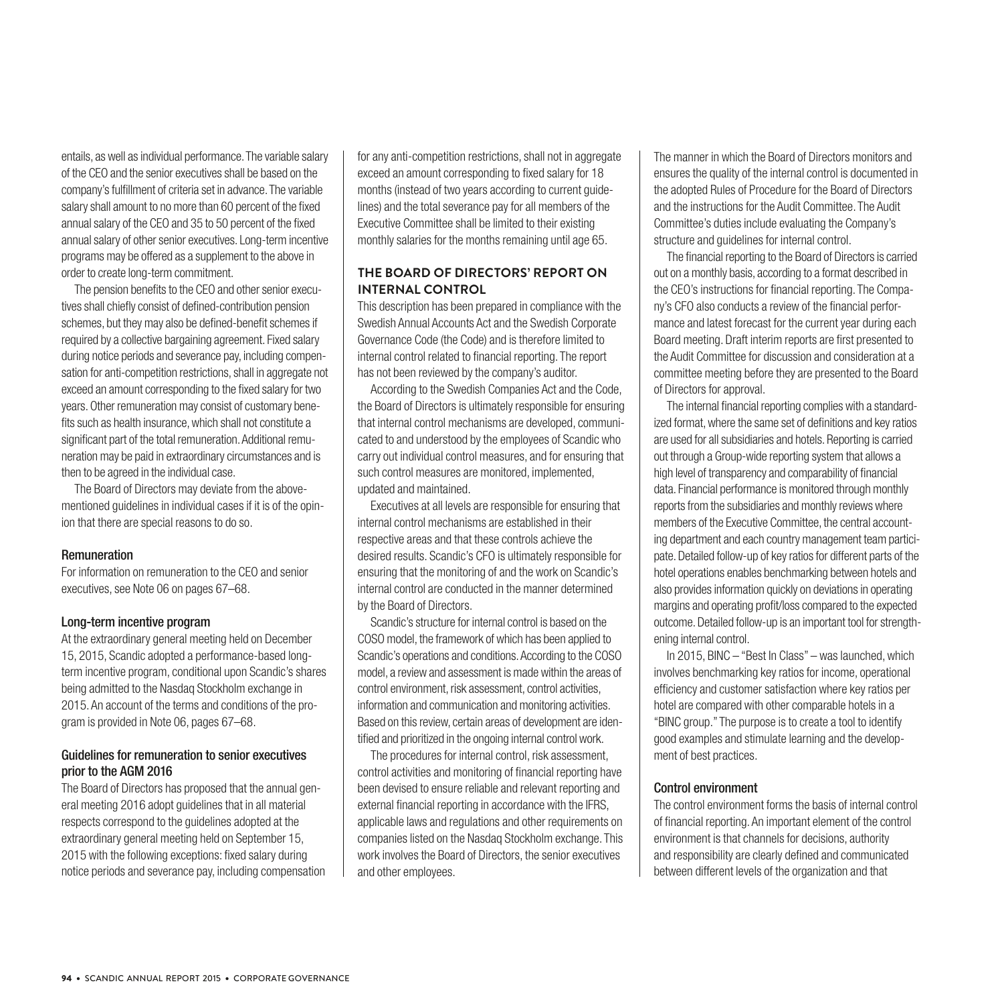entails, as well as individual performance. The variable salary of the CEO and the senior executives shall be based on the company's fulfillment of criteria set in advance. The variable salary shall amount to no more than 60 percent of the fixed annual salary of the CEO and 35 to 50 percent of the fixed annual salary of other senior executives. Long-term incentive programs may be offered as a supplement to the above in order to create long-term commitment.

The pension benefits to the CEO and other senior executives shall chiefly consist of defined-contribution pension schemes, but they may also be defined-benefit schemes if required by a collective bargaining agreement. Fixed salary during notice periods and severance pay, including compensation for anti-competition restrictions, shall in aggregate not exceed an amount corresponding to the fixed salary for two years. Other remuneration may consist of customary benefits such as health insurance, which shall not constitute a significant part of the total remuneration. Additional remuneration may be paid in extraordinary circumstances and is then to be agreed in the individual case.

The Board of Directors may deviate from the abovementioned guidelines in individual cases if it is of the opinion that there are special reasons to do so.

#### Remuneration

For information on remuneration to the CEO and senior executives, see Note 06 on pages 67–68.

#### Long-term incentive program

At the extraordinary general meeting held on December 15, 2015, Scandic adopted a performance-based longterm incentive program, conditional upon Scandic's shares being admitted to the Nasdaq Stockholm exchange in 2015. An account of the terms and conditions of the program is provided in Note 06, pages 67–68.

#### Guidelines for remuneration to senior executives prior to the AGM 2016

The Board of Directors has proposed that the annual general meeting 2016 adopt guidelines that in all material respects correspond to the guidelines adopted at the extraordinary general meeting held on September 15, 2015 with the following exceptions: fixed salary during notice periods and severance pay, including compensation for any anti-competition restrictions, shall not in aggregate exceed an amount corresponding to fixed salary for 18 months (instead of two years according to current guidelines) and the total severance pay for all members of the Executive Committee shall be limited to their existing monthly salaries for the months remaining until age 65.

#### **THE BOARD OF DIRECTORS' REPORT ON INTERNAL CONTROL**

This description has been prepared in compliance with the Swedish Annual Accounts Act and the Swedish Corporate Governance Code (the Code) and is therefore limited to internal control related to financial reporting. The report has not been reviewed by the company's auditor.

According to the Swedish Companies Act and the Code, the Board of Directors is ultimately responsible for ensuring that internal control mechanisms are developed, communicated to and understood by the employees of Scandic who carry out individual control measures, and for ensuring that such control measures are monitored, implemented, updated and maintained.

Executives at all levels are responsible for ensuring that internal control mechanisms are established in their respective areas and that these controls achieve the desired results. Scandic's CFO is ultimately responsible for ensuring that the monitoring of and the work on Scandic's internal control are conducted in the manner determined by the Board of Directors.

Scandic's structure for internal control is based on the COSO model, the framework of which has been applied to Scandic's operations and conditions. According to the COSO model, a review and assessment is made within the areas of control environment, risk assessment, control activities, information and communication and monitoring activities. Based on this review, certain areas of development are identified and prioritized in the ongoing internal control work.

The procedures for internal control, risk assessment, control activities and monitoring of financial reporting have been devised to ensure reliable and relevant reporting and external financial reporting in accordance with the IFRS, applicable laws and regulations and other requirements on companies listed on the Nasdaq Stockholm exchange. This work involves the Board of Directors, the senior executives and other employees.

The manner in which the Board of Directors monitors and ensures the quality of the internal control is documented in the adopted Rules of Procedure for the Board of Directors and the instructions for the Audit Committee. The Audit Committee's duties include evaluating the Company's structure and guidelines for internal control.

The financial reporting to the Board of Directors is carried out on a monthly basis, according to a format described in the CEO's instructions for financial reporting. The Company's CFO also conducts a review of the financial performance and latest forecast for the current year during each Board meeting. Draft interim reports are first presented to the Audit Committee for discussion and consideration at a committee meeting before they are presented to the Board of Directors for approval.

The internal financial reporting complies with a standardized format, where the same set of definitions and key ratios are used for all subsidiaries and hotels. Reporting is carried out through a Group-wide reporting system that allows a high level of transparency and comparability of financial data. Financial performance is monitored through monthly reports from the subsidiaries and monthly reviews where members of the Executive Committee, the central accounting department and each country management team participate. Detailed follow-up of key ratios for different parts of the hotel operations enables benchmarking between hotels and also provides information quickly on deviations in operating margins and operating profit/loss compared to the expected outcome. Detailed follow-up is an important tool for strengthening internal control.

In 2015, BINC – "Best In Class" – was launched, which involves benchmarking key ratios for income, operational efficiency and customer satisfaction where key ratios per hotel are compared with other comparable hotels in a "BINC group." The purpose is to create a tool to identify good examples and stimulate learning and the development of best practices.

#### Control environment

The control environment forms the basis of internal control of financial reporting. An important element of the control environment is that channels for decisions, authority and responsibility are clearly defined and communicated between different levels of the organization and that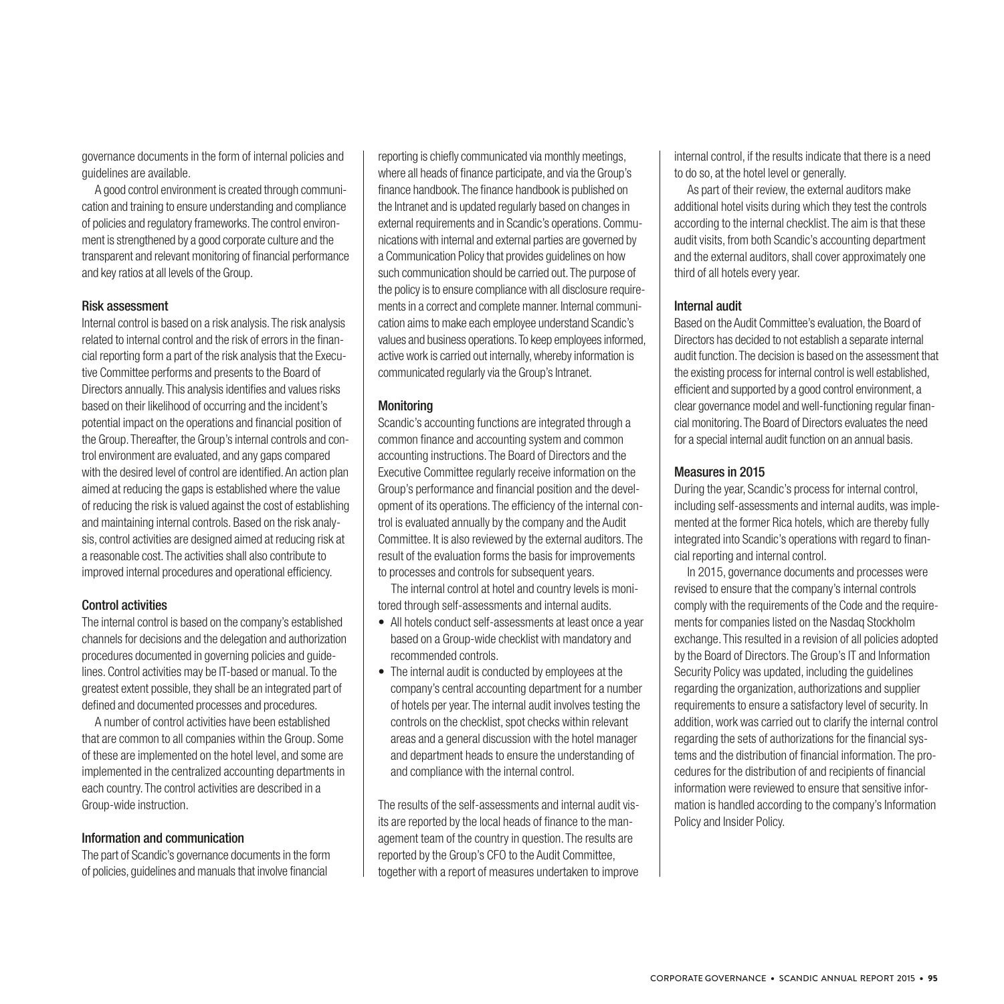governance documents in the form of internal policies and guidelines are available.

A good control environment is created through communication and training to ensure understanding and compliance of policies and regulatory frameworks. The control environment is strengthened by a good corporate culture and the transparent and relevant monitoring of financial performance and key ratios at all levels of the Group.

#### Risk assessment

Internal control is based on a risk analysis. The risk analysis related to internal control and the risk of errors in the financial reporting form a part of the risk analysis that the Executive Committee performs and presents to the Board of Directors annually. This analysis identifies and values risks based on their likelihood of occurring and the incident's potential impact on the operations and financial position of the Group. Thereafter, the Group's internal controls and control environment are evaluated, and any gaps compared with the desired level of control are identified. An action plan aimed at reducing the gaps is established where the value of reducing the risk is valued against the cost of establishing and maintaining internal controls. Based on the risk analysis, control activities are designed aimed at reducing risk at a reasonable cost. The activities shall also contribute to improved internal procedures and operational efficiency.

#### Control activities

The internal control is based on the company's established channels for decisions and the delegation and authorization procedures documented in governing policies and guidelines. Control activities may be IT-based or manual. To the greatest extent possible, they shall be an integrated part of defined and documented processes and procedures.

A number of control activities have been established that are common to all companies within the Group. Some of these are implemented on the hotel level, and some are implemented in the centralized accounting departments in each country. The control activities are described in a Group-wide instruction.

#### Information and communication

The part of Scandic's governance documents in the form of policies, guidelines and manuals that involve financial

reporting is chiefly communicated via monthly meetings, where all heads of finance participate, and via the Group's finance handbook. The finance handbook is published on the Intranet and is updated regularly based on changes in external requirements and in Scandic's operations. Communications with internal and external parties are governed by a Communication Policy that provides guidelines on how such communication should be carried out. The purpose of the policy is to ensure compliance with all disclosure requirements in a correct and complete manner. Internal communication aims to make each employee understand Scandic's values and business operations. To keep employees informed, active work is carried out internally, whereby information is communicated regularly via the Group's Intranet.

#### **Monitoring**

Scandic's accounting functions are integrated through a common finance and accounting system and common accounting instructions. The Board of Directors and the Executive Committee regularly receive information on the Group's performance and financial position and the development of its operations. The efficiency of the internal control is evaluated annually by the company and the Audit Committee. It is also reviewed by the external auditors. The result of the evaluation forms the basis for improvements to processes and controls for subsequent years.

The internal control at hotel and country levels is monitored through self-assessments and internal audits.

- All hotels conduct self-assessments at least once a year based on a Group-wide checklist with mandatory and recommended controls.
- The internal audit is conducted by employees at the company's central accounting department for a number of hotels per year. The internal audit involves testing the controls on the checklist, spot checks within relevant areas and a general discussion with the hotel manager and department heads to ensure the understanding of and compliance with the internal control.

The results of the self-assessments and internal audit visits are reported by the local heads of finance to the management team of the country in question. The results are reported by the Group's CFO to the Audit Committee, together with a report of measures undertaken to improve

internal control, if the results indicate that there is a need to do so, at the hotel level or generally.

As part of their review, the external auditors make additional hotel visits during which they test the controls according to the internal checklist. The aim is that these audit visits, from both Scandic's accounting department and the external auditors, shall cover approximately one third of all hotels every year.

#### Internal audit

Based on the Audit Committee's evaluation, the Board of Directors has decided to not establish a separate internal audit function. The decision is based on the assessment that the existing process for internal control is well established, efficient and supported by a good control environment, a clear governance model and well-functioning regular financial monitoring. The Board of Directors evaluates the need for a special internal audit function on an annual basis.

#### Measures in 2015

During the year, Scandic's process for internal control, including self-assessments and internal audits, was implemented at the former Rica hotels, which are thereby fully integrated into Scandic's operations with regard to financial reporting and internal control.

In 2015, governance documents and processes were revised to ensure that the company's internal controls comply with the requirements of the Code and the requirements for companies listed on the Nasdaq Stockholm exchange. This resulted in a revision of all policies adopted by the Board of Directors. The Group's IT and Information Security Policy was updated, including the guidelines regarding the organization, authorizations and supplier requirements to ensure a satisfactory level of security. In addition, work was carried out to clarify the internal control regarding the sets of authorizations for the financial systems and the distribution of financial information. The procedures for the distribution of and recipients of financial information were reviewed to ensure that sensitive information is handled according to the company's Information Policy and Insider Policy.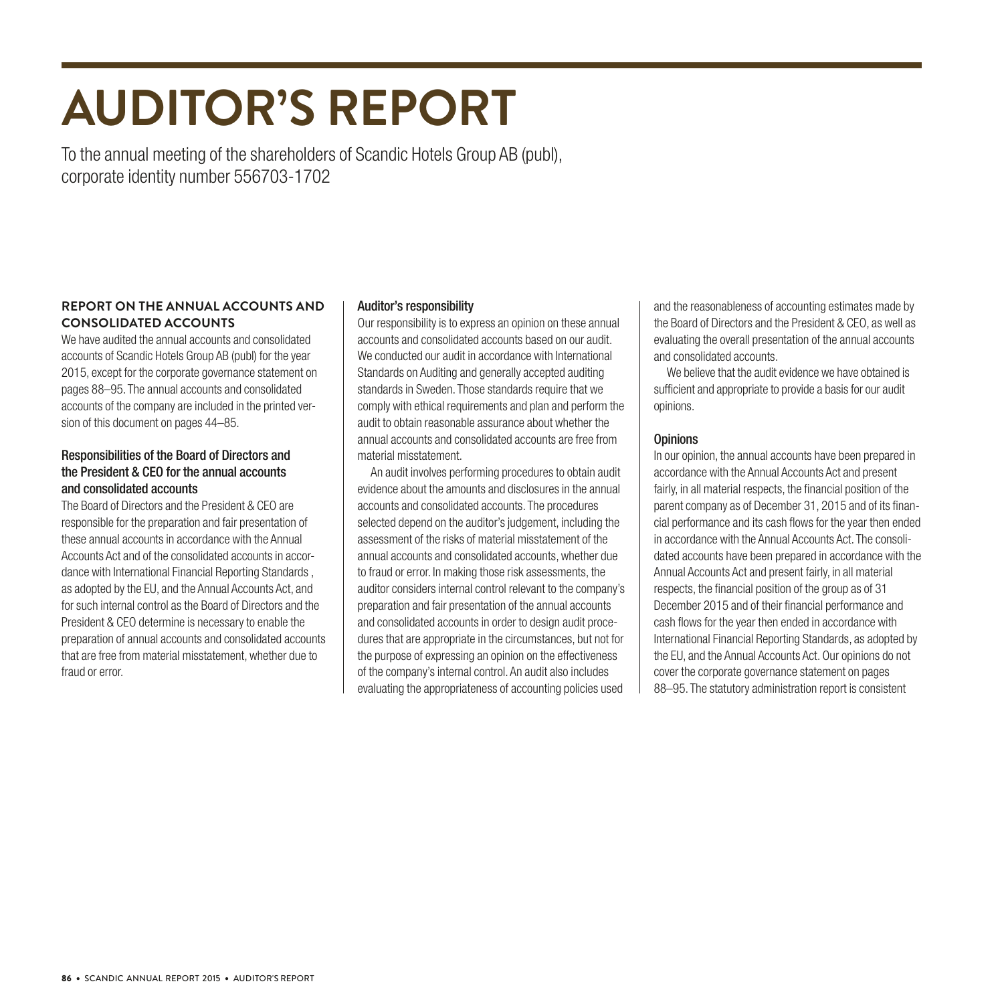# **AUDITOR'S REPORT**

To the annual meeting of the shareholders of Scandic Hotels Group AB (publ), corporate identity number 556703-1702

#### **REPORT ON THE ANNUAL ACCOUNTS AND CONSOLIDATED ACCOUNTS**

We have audited the annual accounts and consolidated accounts of Scandic Hotels Group AB (publ) for the year 2015, except for the corporate governance statement on pages 88–95. The annual accounts and consolidated accounts of the company are included in the printed version of this document on pages 44–85.

#### Responsibilities of the Board of Directors and the President & CEO for the annual accounts and consolidated accounts

The Board of Directors and the President & CEO are responsible for the preparation and fair presentation of these annual accounts in accordance with the Annual Accounts Act and of the consolidated accounts in accordance with International Financial Reporting Standards , as adopted by the EU, and the Annual Accounts Act, and for such internal control as the Board of Directors and the President & CEO determine is necessary to enable the preparation of annual accounts and consolidated accounts that are free from material misstatement, whether due to fraud or error.

#### Auditor's responsibility

Our responsibility is to express an opinion on these annual accounts and consolidated accounts based on our audit. We conducted our audit in accordance with International Standards on Auditing and generally accepted auditing standards in Sweden. Those standards require that we comply with ethical requirements and plan and perform the audit to obtain reasonable assurance about whether the annual accounts and consolidated accounts are free from material misstatement.

An audit involves performing procedures to obtain audit evidence about the amounts and disclosures in the annual accounts and consolidated accounts. The procedures selected depend on the auditor's judgement, including the assessment of the risks of material misstatement of the annual accounts and consolidated accounts, whether due to fraud or error. In making those risk assessments, the auditor considers internal control relevant to the company's preparation and fair presentation of the annual accounts and consolidated accounts in order to design audit procedures that are appropriate in the circumstances, but not for the purpose of expressing an opinion on the effectiveness of the company's internal control. An audit also includes evaluating the appropriateness of accounting policies used

and the reasonableness of accounting estimates made by the Board of Directors and the President & CEO, as well as evaluating the overall presentation of the annual accounts and consolidated accounts.

We believe that the audit evidence we have obtained is sufficient and appropriate to provide a basis for our audit opinions.

#### **Opinions**

In our opinion, the annual accounts have been prepared in accordance with the Annual Accounts Act and present fairly, in all material respects, the financial position of the parent company as of December 31, 2015 and of its financial performance and its cash flows for the year then ended in accordance with the Annual Accounts Act. The consolidated accounts have been prepared in accordance with the Annual Accounts Act and present fairly, in all material respects, the financial position of the group as of 31 December 2015 and of their financial performance and cash flows for the year then ended in accordance with International Financial Reporting Standards, as adopted by the EU, and the Annual Accounts Act. Our opinions do not cover the corporate governance statement on pages 88–95. The statutory administration report is consistent